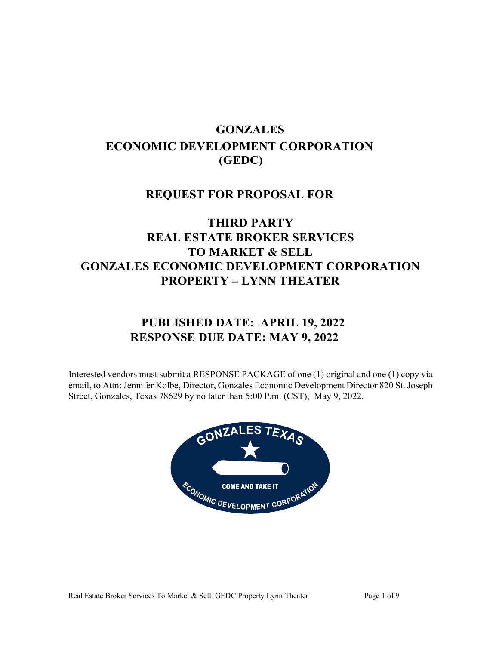# **GONZALES ECONOMIC DEVELOPMENT CORPORATION (GEDC)**

# **REQUEST FOR PROPOSAL FOR**

# **THIRD PARTY REAL ESTATE BROKER SERVICES TO MARKET & SELL GONZALES ECONOMIC DEVELOPMENT CORPORATION PROPERTY – LYNN THEATER**

# **PUBLISHED DATE: APRIL 19, 2022 RESPONSE DUE DATE: MAY 9, 2022**

Interested vendors must submit a RESPONSE PACKAGE of one (1) original and one (1) copy via email, to Attn: Jennifer Kolbe, Director, Gonzales Economic Development Director 820 St. Joseph Street, Gonzales, Texas 78629 by no later than 5:00 P.m. (CST), May 9, 2022.

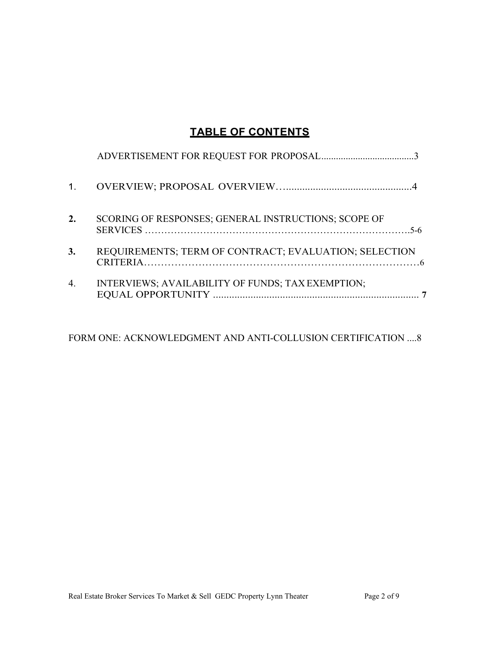# **TABLE OF CONTENTS**

| 1. |                                                       |
|----|-------------------------------------------------------|
| 2. | SCORING OF RESPONSES; GENERAL INSTRUCTIONS; SCOPE OF  |
| 3. | REQUIREMENTS; TERM OF CONTRACT; EVALUATION; SELECTION |
| 4. | INTERVIEWS; AVAILABILITY OF FUNDS; TAX EXEMPTION;     |

FORM ONE: ACKNOWLEDGMENT AND ANTI-COLLUSION CERTIFICATION ....8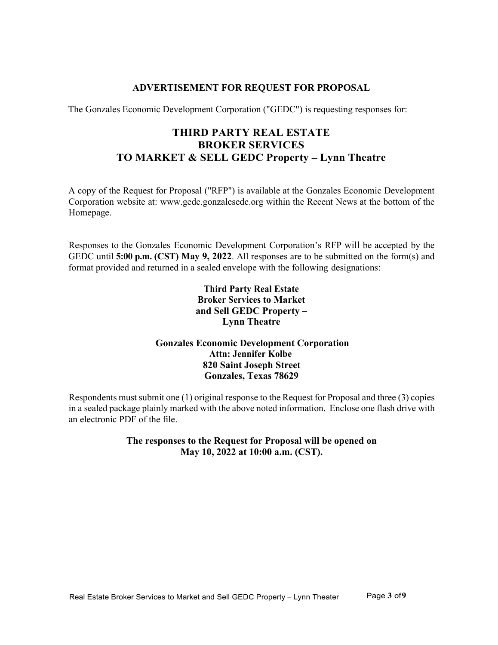## **ADVERTISEMENT FOR REQUEST FOR PROPOSAL**

<span id="page-2-0"></span>The Gonzales Economic Development Corporation ("GEDC") is requesting responses for:

# **THIRD PARTY REAL ESTATE BROKER SERVICES TO MARKET & SELL GEDC Property – Lynn Theatre**

A copy of the Request for Proposal ("RFP") is available at the Gonzales Economic Development Corporation website at: www.gedc.gonzalesedc.org within the Recent News at the bottom of the Homepage.

Responses to the Gonzales Economic Development Corporation's RFP will be accepted by the GEDC until **5:00 p.m. (CST) May 9, 2022**. All responses are to be submitted on the form(s) and format provided and returned in a sealed envelope with the following designations:

## **Third Party Real Estate Broker Services to Market and Sell GEDC Property – Lynn Theatre**

# **Gonzales Economic Development Corporation Attn: Jennifer Kolbe 820 Saint Joseph Street Gonzales, Texas 78629**

Respondents must submit one (1) original response to the Request for Proposal and three (3) copies in a sealed package plainly marked with the above noted information. Enclose one flash drive with an electronic PDF of the file.

> **The responses to the Request for Proposal will be opened on May 10, 2022 at 10:00 a.m. (CST).**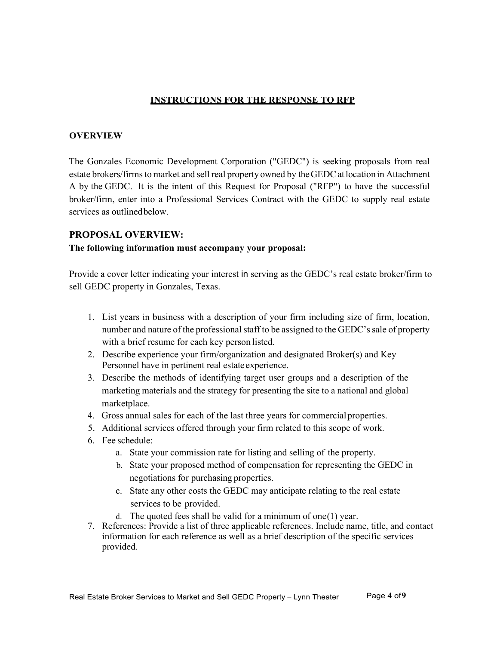## **INSTRUCTIONS FOR THE RESPONSE TO RFP**

#### **OVERVIEW**

The Gonzales Economic Development Corporation ("GEDC") is seeking proposals from real estate brokers/firms to market and sell real property owned by the GEDC at location in Attachment A by the GEDC. It is the intent of this Request for Proposal ("RFP") to have the successful broker/firm, enter into a Professional Services Contract with the GEDC to supply real estate services as outlinedbelow.

#### **PROPOSAL OVERVIEW:**

#### **The following information must accompany your proposal:**

Provide a cover letter indicating your interest in serving as the GEDC's real estate broker/firm to sell GEDC property in Gonzales, Texas.

- 1. List years in business with a description of your firm including size of firm, location, number and nature of the professional staff to be assigned to the GEDC'ssale of property with a brief resume for each key person listed.
- 2. Describe experience your firm/organization and designated Broker(s) and Key Personnel have in pertinent real estate experience.
- 3. Describe the methods of identifying target user groups and a description of the marketing materials and the strategy for presenting the site to a national and global marketplace.
- 4. Gross annual sales for each of the last three years for commercialproperties.
- 5. Additional services offered through your firm related to this scope of work.
- 6. Fee schedule:
	- a. State your commission rate for listing and selling of the property.
	- b. State your proposed method of compensation for representing the GEDC in negotiations for purchasing properties.
	- c. State any other costs the GEDC may anticipate relating to the real estate services to be provided.
	- d. The quoted fees shall be valid for a minimum of one(1) year.
- 7. References: Provide a list of three applicable references. Include name, title, and contact information for each reference as well as a brief description of the specific services provided.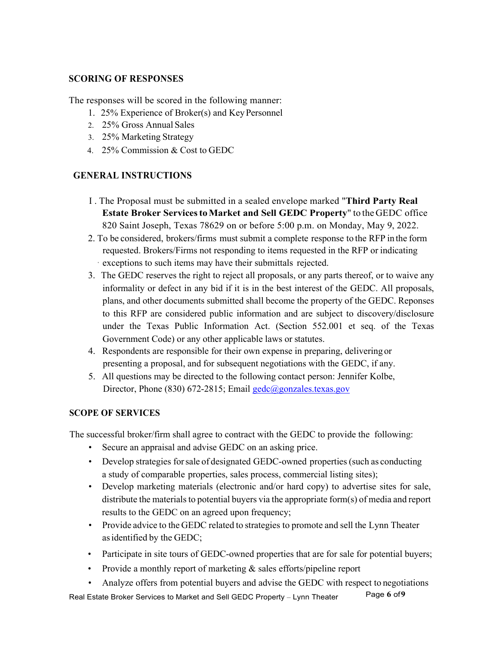## **SCORING OF RESPONSES**

The responses will be scored in the following manner:

- 1. 25% Experience of Broker(s) and KeyPersonnel
- 2. 25% Gross Annual Sales
- 3. 25% Marketing Strategy
- 4. 25% Commission & Cost to GEDC

# **GENERAL INSTRUCTIONS**

- I . The Proposal must be submitted in a sealed envelope marked "**Third Party Real Estate Broker ServicestoMarket and Sell GEDC Property**" to the GEDC office 820 Saint Joseph, Texas 78629 on or before 5:00 p.m. on Monday, May 9, 2022.
- 2. To be considered, brokers/firms must submit a complete response to the RFP in the form requested. Brokers/Firms not responding to items requested in the RFP or indicating · exceptions to such items may have their submittals rejected.
- 3. The GEDC reserves the right to reject all proposals, or any parts thereof, or to waive any informality or defect in any bid if it is in the best interest of the GEDC. All proposals, plans, and other documents submitted shall become the property of the GEDC. Reponses to this RFP are considered public information and are subject to discovery/disclosure under the Texas Public Information Act. (Section 552.001 et seq. of the Texas Government Code) or any other applicable laws or statutes.
- 4. Respondents are responsible for their own expense in preparing, delivering or presenting a proposal, and for subsequent negotiations with the GEDC, if any.
- 5. All questions may be directed to the following contact person: Jennifer Kolbe, Director, Phone (830) 672-2815; Email [gedc@gonzales.texas.gov](mailto:gedc@gonzales.texas.gov)

### **SCOPE OF SERVICES**

The successful broker/firm shall agree to contract with the GEDC to provide the following:

- Secure an appraisal and advise GEDC on an asking price.
- Develop strategies forsale of designated GEDC-owned properties (such as conducting a study of comparable properties, sales process, commercial listing sites);
- Develop marketing materials (electronic and/or hard copy) to advertise sites for sale, distribute the materials to potential buyers via the appropriate form(s) of media and report results to the GEDC on an agreed upon frequency;
- Provide advice to the GEDC related to strategies to promote and sell the Lynn Theater asidentified by the GEDC;
- Participate in site tours of GEDC-owned properties that are for sale for potential buyers;
- Provide a monthly report of marketing & sales efforts/pipeline report
- Analyze offers from potential buyers and advise the GEDC with respect to negotiations

Real Estate Broker Services to Market and Sell GEDC Property – Lynn Theater Page 6 of 9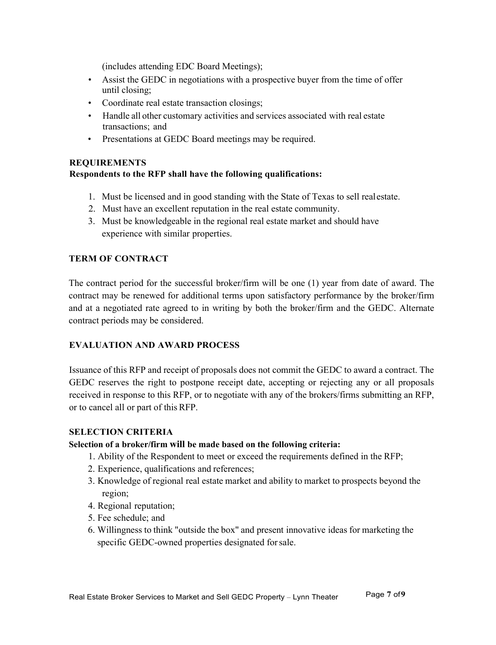(includes attending EDC Board Meetings);

- Assist the GEDC in negotiations with a prospective buyer from the time of offer until closing;
- Coordinate real estate transaction closings;
- Handle all other customary activities and services associated with real estate transactions; and
- Presentations at GEDC Board meetings may be required.

### **REQUIREMENTS**

## **Respondents to the RFP shall have the following qualifications:**

- 1. Must be licensed and in good standing with the State of Texas to sell realestate.
- 2. Must have an excellent reputation in the real estate community.
- 3. Must be knowledgeable in the regional real estate market and should have experience with similar properties.

### **TERM OF CONTRACT**

The contract period for the successful broker/firm will be one (1) year from date of award. The contract may be renewed for additional terms upon satisfactory performance by the broker/firm and at a negotiated rate agreed to in writing by both the broker/firm and the GEDC. Alternate contract periods may be considered.

### **EVALUATION AND AWARD PROCESS**

Issuance of this RFP and receipt of proposals does not commit the GEDC to award a contract. The GEDC reserves the right to postpone receipt date, accepting or rejecting any or all proposals received in response to this RFP, or to negotiate with any of the brokers/firms submitting an RFP, or to cancel all or part of thisRFP.

### **SELECTION CRITERIA**

### **Selection of a broker/firm will be made based on the following criteria:**

- 1. Ability of the Respondent to meet or exceed the requirements defined in the RFP;
- 2. Experience, qualifications and references;
- 3. Knowledge of regional real estate market and ability to market to prospects beyond the region;
- 4. Regional reputation;
- 5. Fee schedule; and
- 6. Willingness to think "outside the box" and present innovative ideas for marketing the specific GEDC-owned properties designated forsale.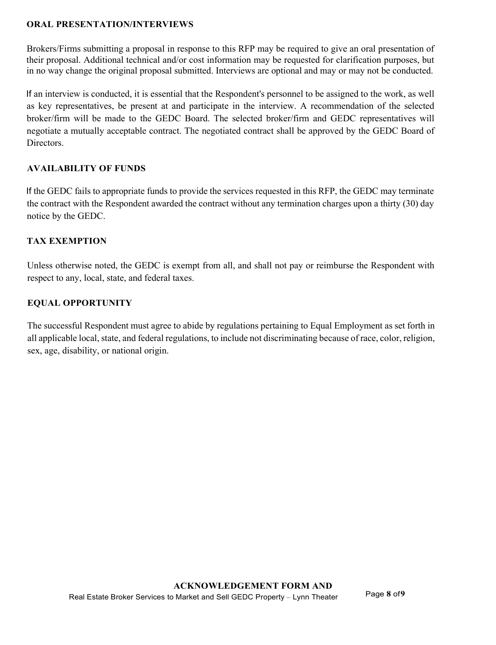### **ORAL PRESENTATION/INTERVIEWS**

Brokers/Firms submitting a proposal in response to this RFP may be required to give an oral presentation of their proposal. Additional technical and/or cost information may be requested for clarification purposes, but in no way change the original proposal submitted. Interviews are optional and may or may not be conducted.

If an interview is conducted, it is essential that the Respondent's personnel to be assigned to the work, as well as key representatives, be present at and participate in the interview. A recommendation of the selected broker/firm will be made to the GEDC Board. The selected broker/firm and GEDC representatives will negotiate a mutually acceptable contract. The negotiated contract shall be approved by the GEDC Board of Directors.

## **AVAILABILITY OF FUNDS**

If the GEDC fails to appropriate funds to provide the services requested in this RFP, the GEDC may terminate the contract with the Respondent awarded the contract without any termination charges upon a thirty (30) day notice by the GEDC.

## **TAX EXEMPTION**

Unless otherwise noted, the GEDC is exempt from all, and shall not pay or reimburse the Respondent with respect to any, local, state, and federal taxes.

## **EQUAL OPPORTUNITY**

The successful Respondent must agree to abide by regulations pertaining to Equal Employment as set forth in all applicable local, state, and federal regulations, to include not discriminating because of race, color, religion, sex, age, disability, or national origin.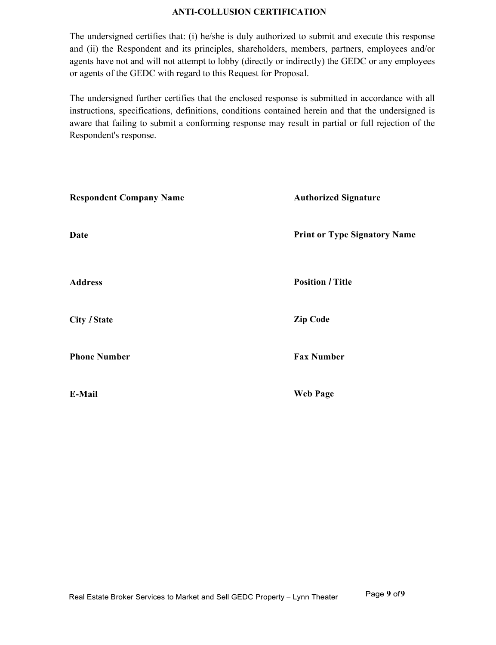#### **ANTI-COLLUSION CERTIFICATION**

The undersigned certifies that: (i) he/she is duly authorized to submit and execute this response and (ii) the Respondent and its principles, shareholders, members, partners, employees and/or agents have not and will not attempt to lobby (directly or indirectly) the GEDC or any employees or agents of the GEDC with regard to this Request for Proposal.

The undersigned further certifies that the enclosed response is submitted in accordance with all instructions, specifications, definitions, conditions contained herein and that the undersigned is aware that failing to submit a conforming response may result in partial or full rejection of the Respondent's response.

| <b>Respondent Company Name</b> | <b>Authorized Signature</b>         |  |  |  |
|--------------------------------|-------------------------------------|--|--|--|
| Date                           | <b>Print or Type Signatory Name</b> |  |  |  |
| <b>Address</b>                 | <b>Position / Title</b>             |  |  |  |
| <b>City / State</b>            | <b>Zip Code</b>                     |  |  |  |
| <b>Phone Number</b>            | <b>Fax Number</b>                   |  |  |  |
| E-Mail                         | <b>Web Page</b>                     |  |  |  |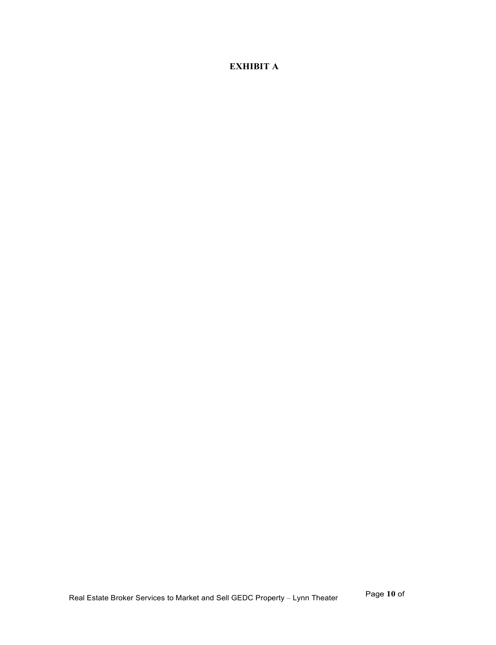# **EXHIBIT A**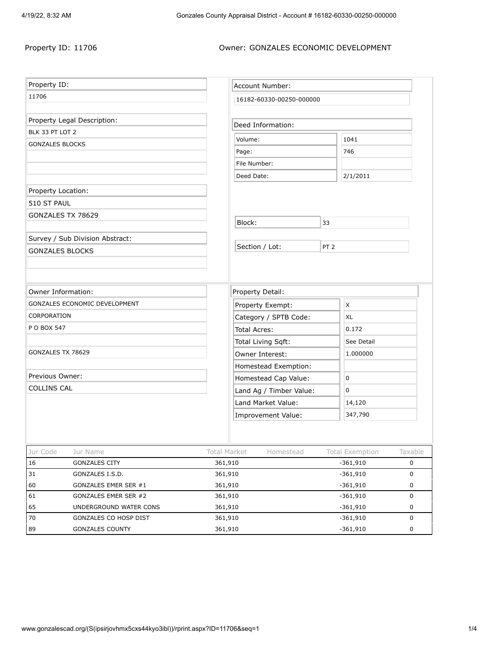#### Property ID: 11706 **Owner: GONZALES ECONOMIC DEVELOPMENT**

| Property ID:                                       |                         |                                                 | Account Number:      |                 |                               |                        |  |
|----------------------------------------------------|-------------------------|-------------------------------------------------|----------------------|-----------------|-------------------------------|------------------------|--|
| 11706                                              |                         |                                                 |                      |                 |                               |                        |  |
|                                                    |                         | 16182-60330-00250-000000                        |                      |                 |                               |                        |  |
| Property Legal Description:                        |                         |                                                 | Deed Information:    |                 |                               |                        |  |
| BLK 33 PT LOT 2                                    |                         |                                                 |                      |                 |                               |                        |  |
| <b>GONZALES BLOCKS</b>                             |                         | Volume:                                         |                      |                 | 1041                          |                        |  |
|                                                    |                         | Page:                                           |                      |                 | 746                           |                        |  |
|                                                    |                         | File Number:                                    |                      |                 |                               |                        |  |
|                                                    |                         | Deed Date:                                      |                      |                 | 2/1/2011                      |                        |  |
| Property Location:                                 |                         |                                                 |                      |                 |                               |                        |  |
| 510 ST PAUL                                        |                         |                                                 |                      |                 |                               |                        |  |
| GONZALES TX 78629                                  |                         |                                                 |                      |                 |                               |                        |  |
|                                                    |                         | Block:                                          |                      | 33              |                               |                        |  |
| Survey / Sub Division Abstract:                    |                         |                                                 |                      |                 |                               |                        |  |
| <b>GONZALES BLOCKS</b>                             |                         | Section / Lot:                                  |                      | PT <sub>2</sub> |                               |                        |  |
|                                                    |                         |                                                 |                      |                 |                               |                        |  |
|                                                    |                         |                                                 |                      |                 |                               |                        |  |
| Owner Information:                                 |                         | Property Detail:                                |                      |                 |                               |                        |  |
| GONZALES ECONOMIC DEVELOPMENT                      |                         | Property Exempt:                                |                      |                 | X                             |                        |  |
| CORPORATION                                        |                         | Category / SPTB Code:                           |                      |                 | XL                            |                        |  |
| P O BOX 547                                        |                         | Total Acres:                                    |                      |                 | 0.172                         |                        |  |
|                                                    |                         | Total Living Sqft:                              |                      |                 | See Detail                    |                        |  |
| GONZALES TX 78629                                  |                         | Owner Interest:                                 |                      |                 | 1.000000                      |                        |  |
|                                                    |                         |                                                 | Homestead Exemption: |                 |                               |                        |  |
| Previous Owner:                                    |                         |                                                 |                      |                 | 0                             |                        |  |
| <b>COLLINS CAL</b>                                 |                         | Homestead Cap Value:<br>Land Ag / Timber Value: |                      |                 | 0                             |                        |  |
|                                                    |                         | Land Market Value:                              |                      |                 | 14,120                        |                        |  |
|                                                    |                         | Improvement Value:                              |                      |                 | 347,790                       |                        |  |
|                                                    |                         |                                                 |                      |                 |                               |                        |  |
|                                                    |                         |                                                 |                      |                 |                               |                        |  |
|                                                    |                         |                                                 |                      |                 |                               |                        |  |
| Jur Code<br>Jur Name<br><b>GONZALES CITY</b><br>16 | Total Market<br>361,910 |                                                 | Homestead            |                 | Total Exemption<br>$-361,910$ | Taxable<br>$\mathsf 0$ |  |
| 31<br>GONZALES I.S.D.                              | 361,910                 |                                                 |                      |                 | $-361,910$                    | $\mathsf 0$            |  |
| GONZALES EMER SER #1<br>60                         | 361,910                 |                                                 |                      | $-361,910$<br>0 |                               |                        |  |
| 61<br>GONZALES EMER SER #2                         | 361,910                 |                                                 |                      | $-361,910$<br>0 |                               |                        |  |
| 65<br>UNDERGROUND WATER CONS                       | 361,910                 |                                                 |                      | $-361,910$      |                               | 0                      |  |
| 70<br>GONZALES CO HOSP DIST                        | 361,910                 |                                                 |                      |                 | $-361,910$                    | $\mathsf 0$            |  |
| 89<br>GONZALES COUNTY                              |                         | 361,910                                         |                      |                 | $-361,910$<br>0               |                        |  |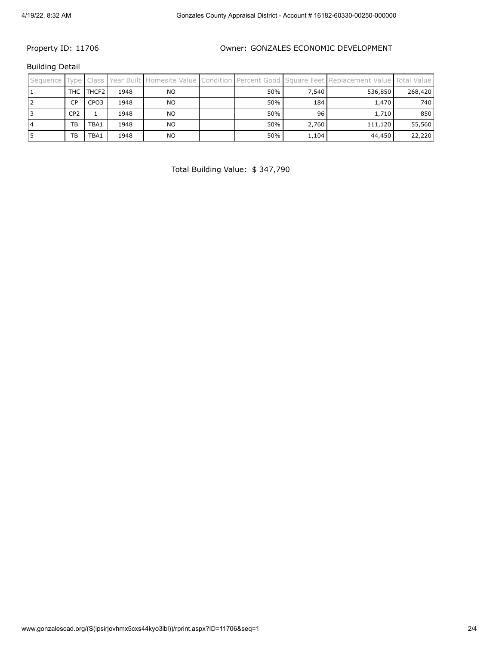#### Property ID: 11706 **Case Concrete Concrete Concrete Concrete Concrete Concrete Concrete Property** ID: 11706

Building Detail

| Sequence Type Class |                 |                   |      |           |     |       | Year Built Homesite Value Condition Percent Good Square Feet Replacement Value Total Value |         |
|---------------------|-----------------|-------------------|------|-----------|-----|-------|--------------------------------------------------------------------------------------------|---------|
|                     | THC             | THCF <sub>2</sub> | 1948 | <b>NO</b> | 50% | 7.540 | 536,850                                                                                    | 268,420 |
|                     | CP              | CPO <sub>3</sub>  | 1948 | NO        | 50% | 184   | 1,470                                                                                      | 740     |
|                     | CP <sub>2</sub> |                   | 1948 | NO        | 50% | 96    | 1,710                                                                                      | 850     |
|                     | TB              | TBA1              | 1948 | NO        | 50% | 2,760 | 111,120                                                                                    | 55,560  |
|                     | TB              | TBA1              | 1948 | <b>NO</b> | 50% | 1,104 | 44,450                                                                                     | 22,220  |

Total Building Value: \$ 347,790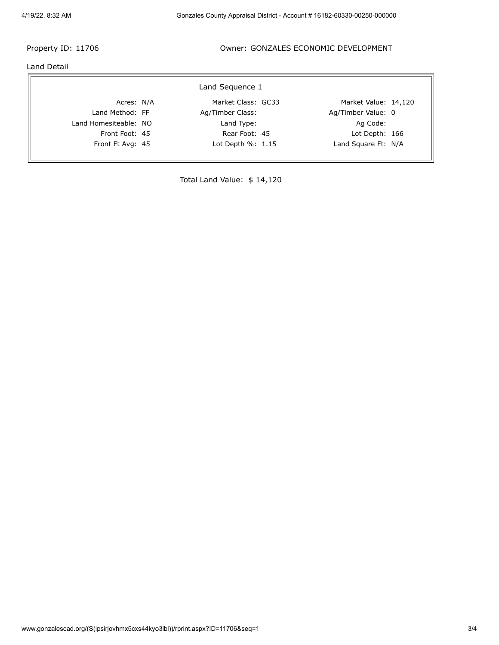#### Property ID: 11706 **Case Concrete Concrete Concrete Concrete Concrete Concrete Concrete Property** ID: 11706

Land Detail

 $\overline{\Gamma}$ 

| Land Sequence 1       |  |                       |  |                      |  |  |  |  |
|-----------------------|--|-----------------------|--|----------------------|--|--|--|--|
| Acres: N/A            |  | Market Class: GC33    |  | Market Value: 14,120 |  |  |  |  |
| Land Method: FF       |  | Ag/Timber Class:      |  | Ag/Timber Value: 0   |  |  |  |  |
| Land Homesiteable: NO |  | Land Type:            |  | Ag Code:             |  |  |  |  |
| Front Foot: 45        |  | Rear Foot: 45         |  | Lot Depth: 166       |  |  |  |  |
| Front Ft Avg: 45      |  | Lot Depth $\%$ : 1.15 |  | Land Square Ft: N/A  |  |  |  |  |

Total Land Value: \$ 14,120